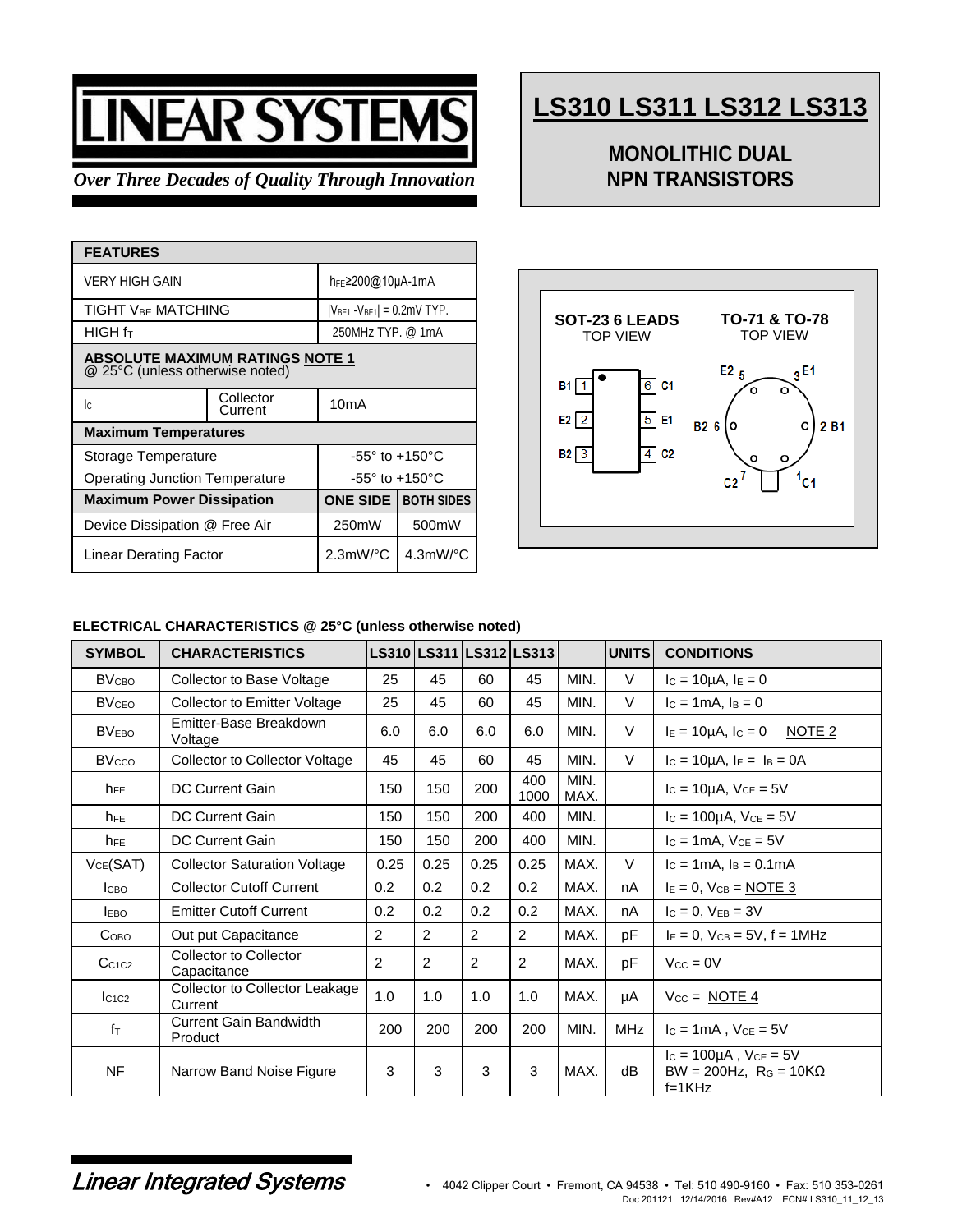# EAR SYSTI

## *Over Three Decades of Quality Through Innovation*

| <b>FEATURES</b>                                                           |                                     |                       |  |  |  |  |  |
|---------------------------------------------------------------------------|-------------------------------------|-----------------------|--|--|--|--|--|
| VERY HIGH GAIN                                                            | h <sub>FE</sub> ≥200@10µA-1mA       |                       |  |  |  |  |  |
| TIGHT VBE MATCHING                                                        | $ V_{BE1} - V_{BE1}  = 0.2$ mV TYP. |                       |  |  |  |  |  |
| HIGH f <sub>T</sub>                                                       | 250MHz TYP. @ 1mA                   |                       |  |  |  |  |  |
| <b>ABSOLUTE MAXIMUM RATINGS NOTE 1</b><br>@ 25°C (unless otherwise noted) |                                     |                       |  |  |  |  |  |
| lc.                                                                       | 10mA                                |                       |  |  |  |  |  |
| <b>Maximum Temperatures</b>                                               |                                     |                       |  |  |  |  |  |
| Storage Temperature                                                       | $-55^\circ$ to $+150^\circ$ C       |                       |  |  |  |  |  |
| Operating Junction Temperature                                            | $-55^\circ$ to $+150^\circ$ C       |                       |  |  |  |  |  |
| <b>Maximum Power Dissipation</b>                                          | <b>ONE SIDE</b>                     | <b>BOTH SIDES</b>     |  |  |  |  |  |
| Device Dissipation @ Free Air                                             | 250mW                               | 500mW                 |  |  |  |  |  |
| <b>Linear Derating Factor</b>                                             | $2.3$ mW/ $^{\circ}$ C              | $4.3$ mW/ $\degree$ C |  |  |  |  |  |

## **LS310 LS311 LS312 LS313**

## **MONOLITHIC DUAL NPN TRANSISTORS**



#### **ELECTRICAL CHARACTERISTICS @ 25°C (unless otherwise noted)**

| <b>SYMBOL</b>                  | <b>CHARACTERISTICS</b>                    |                |                |                | LS310 LS311 LS312 LS313 |              | <b>UNITS</b> | <b>CONDITIONS</b>                                                             |
|--------------------------------|-------------------------------------------|----------------|----------------|----------------|-------------------------|--------------|--------------|-------------------------------------------------------------------------------|
| <b>BV<sub>CBO</sub></b>        | Collector to Base Voltage                 | 25             | 45             | 60             | 45                      | MIN.         | $\vee$       | $I_c = 10 \mu A$ , $I_E = 0$                                                  |
| <b>BV<sub>CEO</sub></b>        | <b>Collector to Emitter Voltage</b>       | 25             | 45             | 60             | 45                      | MIN.         | $\vee$       | $I_c = 1mA$ , $I_B = 0$                                                       |
| <b>BVEBO</b>                   | Emitter-Base Breakdown<br>Voltage         | 6.0            | 6.0            | 6.0            | 6.0                     | MIN.         | $\vee$       | $I_E = 10 \mu A$ , $I_C = 0$<br><u>NOTE 2</u>                                 |
| <b>BV<sub>cco</sub></b>        | <b>Collector to Collector Voltage</b>     | 45             | 45             | 60             | 45                      | MIN.         | $\vee$       | $I_C = 10\mu A$ , $I_E = I_B = 0A$                                            |
| h <sub>FE</sub>                | <b>DC Current Gain</b>                    | 150            | 150            | 200            | 400<br>1000             | MIN.<br>MAX. |              | $I_c = 10\mu A$ , $V_{CE} = 5V$                                               |
| <b>h</b> <sub>FE</sub>         | <b>DC Current Gain</b>                    | 150            | 150            | 200            | 400                     | MIN.         |              | $I_c = 100 \mu A$ , $V_{CE} = 5V$                                             |
| $h_{FE}$                       | <b>DC Current Gain</b>                    | 150            | 150            | 200            | 400                     | MIN.         |              | $I_C = 1mA$ , $V_{CE} = 5V$                                                   |
| VCE(SAT)                       | <b>Collector Saturation Voltage</b>       | 0.25           | 0.25           | 0.25           | 0.25                    | MAX.         | $\vee$       | $I_c = 1mA$ , $I_B = 0.1mA$                                                   |
| <b>І</b> сво                   | <b>Collector Cutoff Current</b>           | 0.2            | 0.2            | 0.2            | 0.2 <sub>0</sub>        | MAX.         | nA           | $I_E = 0$ , $V_{CB} = \underline{NOTE 3}$                                     |
| <b>IEBO</b>                    | <b>Emitter Cutoff Current</b>             | 0.2            | 0.2            | 0.2            | 0.2                     | MAX.         | nA           | $I_C = 0, V_{EB} = 3V$                                                        |
| Сово                           | Out put Capacitance                       | $\overline{2}$ | 2              | 2              | 2                       | MAX.         | pF           | $I_E = 0$ , $V_{CB} = 5V$ , $f = 1MHz$                                        |
| C <sub>c1C2</sub>              | Collector to Collector<br>Capacitance     | $\overline{2}$ | $\overline{2}$ | $\overline{2}$ | 2                       | MAX.         | pF           | $V_{\text{CC}} = 0V$                                                          |
| lc <sub>1</sub> c <sub>2</sub> | Collector to Collector Leakage<br>Current | 1.0            | 1.0            | 1.0            | 1.0                     | MAX.         | μA           | $V_{CC} = \text{NOTE } 4$                                                     |
| $f_{\text{T}}$                 | <b>Current Gain Bandwidth</b><br>Product  | 200            | 200            | 200            | 200                     | MIN.         | <b>MHz</b>   | $I_c = 1mA$ , $V_{CE} = 5V$                                                   |
| NF                             | Narrow Band Noise Figure                  | 3              | 3              | 3              | 3                       | MAX.         | dB           | $I_c = 100\mu A$ , $V_{CE} = 5V$<br>BW = 200Hz, $R_G = 10K\Omega$<br>$f=1KHz$ |